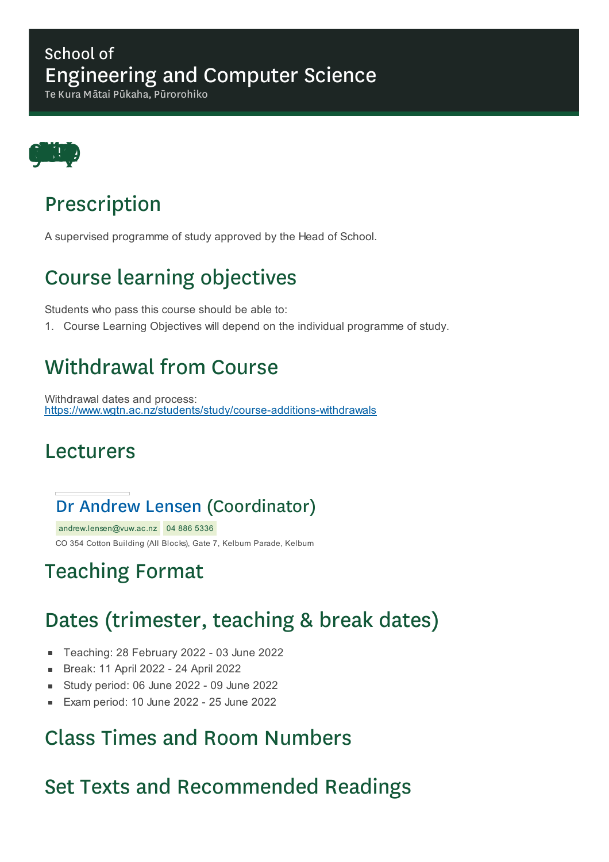#### School of Engineering and Computer Science

Te Kura Mātai Pūkaha, Pūrorohiko



# Prescription

A supervised programme of study approved by the Head of School.

# Course learning objectives

Students who pass this course should be able to:

1. Course Learning Objectives will depend on the individual programme of study.

### Withdrawal from Course

Withdrawal dates and process: https://www.wgtn.ac.nz/students/study/course-additions-withdrawals

#### Lecturers

#### Dr Andrew Lensen (Coordinator)

andrew.lensen@vuw.ac.nz 04 886 5336 CO 354 Cotton Building (All Blocks), Gate 7, Kelburn Parade, Kelburn

# Teaching Format

# Dates (trimester, teaching & break dates)

- Teaching: 28 February 2022 03 June 2022  $\blacksquare$
- Break: 11 April 2022 24 April 2022
- Study period: 06 June 2022 09 June 2022  $\blacksquare$
- Exam period: 10 June 2022 25 June 2022

### Class Times and Room Numbers

### Set Texts and Recommended Readings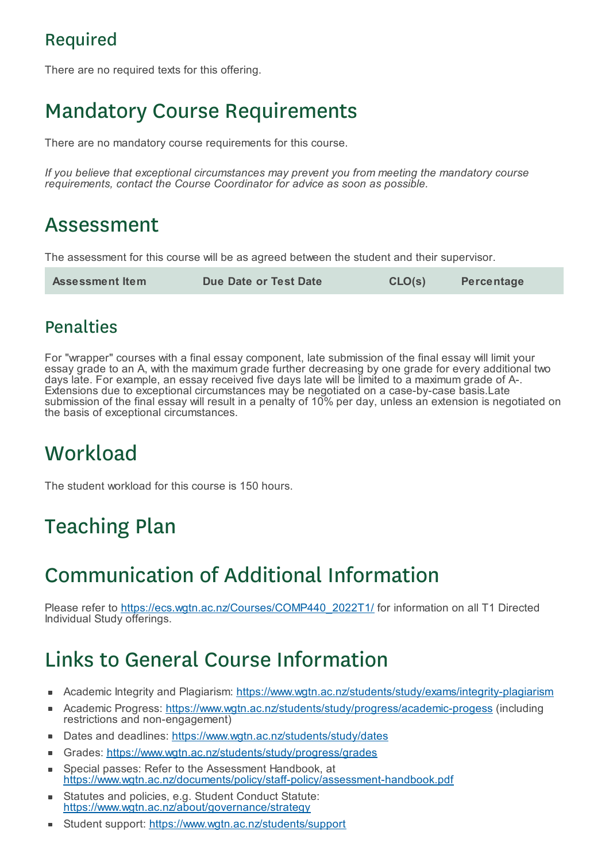### Required

There are no required texts for this offering.

# Mandatory Course Requirements

There are no mandatory course requirements for this course.

*If you believe that exceptional circumstances may prevent you from meeting the mandatory course requirements, contact the Course Coordinator for advice as soon as possible.*

### Assessment

The assessment for this course will be as agreed between the student and their supervisor.

| <b>Assessment Item</b> | Due Date or Test Date | CLO(s) | <b>Percentage</b> |
|------------------------|-----------------------|--------|-------------------|
|------------------------|-----------------------|--------|-------------------|

#### Penalties

For "wrapper" courses with a final essay component, late submission of the final essay will limit your essay grade to an A, with the maximum grade further decreasing by one grade for every additional two days late. For example, an essay received five days late will be limited to a maximum grade of A-. Extensions due to exceptional circumstances may be negotiated on a case-by-case basis.Late submission of the final essay will result in a penalty of 10% per day, unless an extension is negotiated on the basis of exceptional circumstances.

# **Workload**

The student workload for this course is 150 hours.

# Teaching Plan

# Communication of Additional Information

Please refer to https://ecs.wgtn.ac.nz/Courses/COMP440\_2022T1/ for information on all T1 Directed Individual Study offerings.

# Links to General Course Information

- Academic Integrity and Plagiarism: https://www.wgtn.ac.nz/students/study/exams/integrity-plagiarism
- Academic Progress: https://www.wgtn.ac.nz/students/study/progress/academic-progess (including É restrictions and non-engagement)
- Dates and deadlines: https://www.wgtn.ac.nz/students/study/dates
- Grades: https://www.wgtn.ac.nz/students/study/progress/grades
- Special passes: Refer to the Assessment Handbook, at Ė https://www.wgtn.ac.nz/documents/policy/staff-policy/assessment-handbook.pdf
- Statutes and policies, e.g. Student Conduct Statute: https://www.wgtn.ac.nz/about/governance/strategy
- Student support: https://www.wgtn.ac.nz/students/support